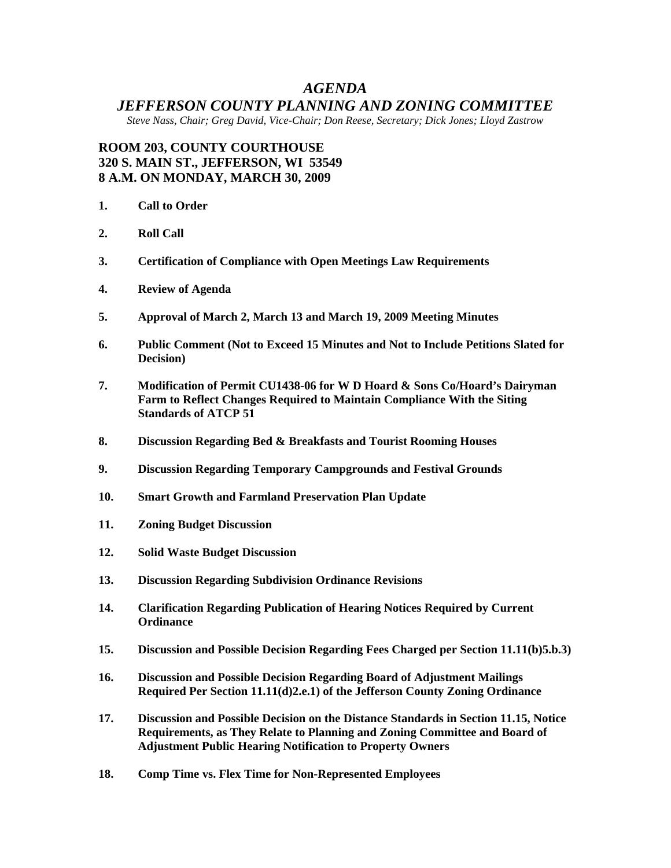# *AGENDA*

## *JEFFERSON COUNTY PLANNING AND ZONING COMMITTEE*

*Steve Nass, Chair; Greg David, Vice-Chair; Don Reese, Secretary; Dick Jones; Lloyd Zastrow* 

### **ROOM 203, COUNTY COURTHOUSE 320 S. MAIN ST., JEFFERSON, WI 53549 8 A.M. ON MONDAY, MARCH 30, 2009**

- **1. Call to Order**
- **2. Roll Call**
- **3. Certification of Compliance with Open Meetings Law Requirements**
- **4. Review of Agenda**
- **5. Approval of March 2, March 13 and March 19, 2009 Meeting Minutes**
- **6. Public Comment (Not to Exceed 15 Minutes and Not to Include Petitions Slated for Decision)**
- **7. Modification of Permit CU1438-06 for W D Hoard & Sons Co/Hoard's Dairyman Farm to Reflect Changes Required to Maintain Compliance With the Siting Standards of ATCP 51**
- **8. Discussion Regarding Bed & Breakfasts and Tourist Rooming Houses**
- **9. Discussion Regarding Temporary Campgrounds and Festival Grounds**
- **10. Smart Growth and Farmland Preservation Plan Update**
- **11. Zoning Budget Discussion**
- **12. Solid Waste Budget Discussion**
- **13. Discussion Regarding Subdivision Ordinance Revisions**
- **14. Clarification Regarding Publication of Hearing Notices Required by Current Ordinance**
- **15. Discussion and Possible Decision Regarding Fees Charged per Section 11.11(b)5.b.3)**
- **16. Discussion and Possible Decision Regarding Board of Adjustment Mailings Required Per Section 11.11(d)2.e.1) of the Jefferson County Zoning Ordinance**
- **17. Discussion and Possible Decision on the Distance Standards in Section 11.15, Notice Requirements, as They Relate to Planning and Zoning Committee and Board of Adjustment Public Hearing Notification to Property Owners**
- **18. Comp Time vs. Flex Time for Non-Represented Employees**